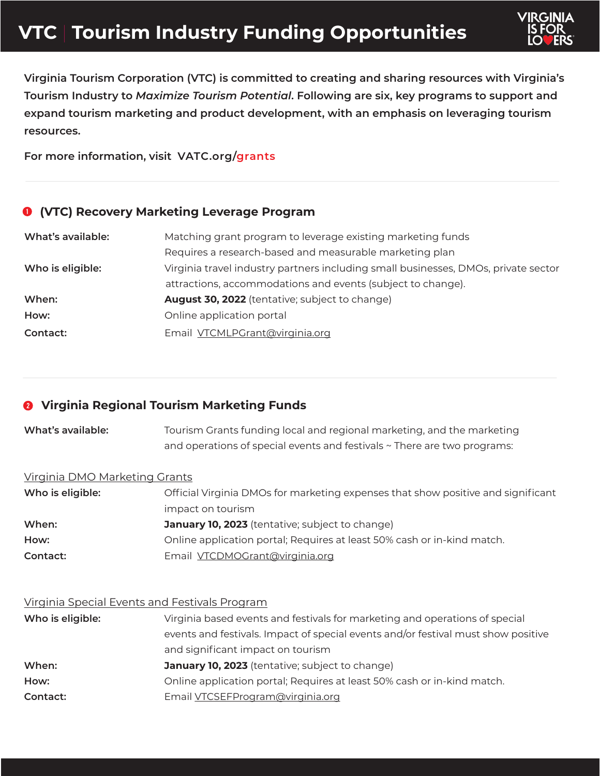# **VTC** | **Tourism Industry Funding Opportunities**



**Virginia Tourism Corporation (VTC) is committed to creating and sharing resources with Virginia's Tourism Industry to** *Maximize Tourism Potential***. Following are six, key programs to support and expand tourism marketing and product development, with an emphasis on leveraging tourism resources.**

**For more information, visit [VATC.org/grants](https://www.vatc.org/grants/)**

## **(VTC) Recovery Marketing Leverage Program**

| What's available: | Matching grant program to leverage existing marketing funds                        |
|-------------------|------------------------------------------------------------------------------------|
|                   | Requires a research-based and measurable marketing plan                            |
| Who is eligible:  | Virginia travel industry partners including small businesses, DMOs, private sector |
|                   | attractions, accommodations and events (subject to change).                        |
| When:             | <b>August 30, 2022</b> (tentative; subject to change)                              |
| How:              | Online application portal                                                          |
| Contact:          | Email VTCMLPGrant@virginia.org                                                     |

## **Virginia Regional Tourism Marketing Funds**

| What's available: | Tourism Grants funding local and regional marketing, and the marketing   |
|-------------------|--------------------------------------------------------------------------|
|                   | and operations of special events and festivals ~ There are two programs: |

#### Virginia DMO Marketing Grants

| Who is eligible: | Official Virginia DMOs for marketing expenses that show positive and significant |
|------------------|----------------------------------------------------------------------------------|
|                  | impact on tourism                                                                |
| When:            | <b>January 10, 2023</b> (tentative; subject to change)                           |
| How:             | Online application portal; Requires at least 50% cash or in-kind match.          |
| Contact:         | Email VTCDMOGrant@virginia.org                                                   |

#### Virginia Special Events and Festivals Program

| Who is eligible: | Virginia based events and festivals for marketing and operations of special       |
|------------------|-----------------------------------------------------------------------------------|
|                  | events and festivals. Impact of special events and/or festival must show positive |
|                  | and significant impact on tourism                                                 |
| When:            | <b>January 10, 2023</b> (tentative; subject to change)                            |
| How:             | Online application portal; Requires at least 50% cash or in-kind match.           |
| Contact:         | Email <b>VTCSEFProgram@virginia.org</b>                                           |